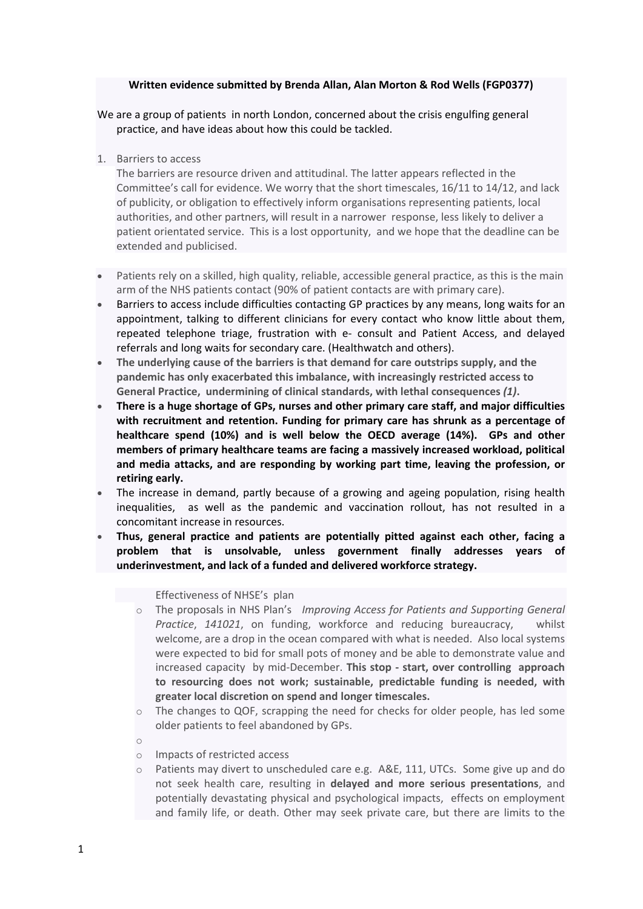# **Written evidence submitted by Brenda Allan, Alan Morton & Rod Wells (FGP0377)**

We are a group of patients in north London, concerned about the crisis engulfing general practice, and have ideas about how this could be tackled.

1. Barriers to access

The barriers are resource driven and attitudinal. The latter appears reflected in the Committee's call for evidence. We worry that the short timescales, 16/11 to 14/12, and lack of publicity, or obligation to effectively inform organisations representing patients, local authorities, and other partners, will result in a narrower response, less likely to deliver a patient orientated service. This is a lost opportunity, and we hope that the deadline can be extended and publicised.

- Patients rely on a skilled, high quality, reliable, accessible general practice, as this is the main arm of the NHS patients contact (90% of patient contacts are with primary care).
- Barriers to access include difficulties contacting GP practices by any means, long waits for an appointment, talking to different clinicians for every contact who know little about them, repeated telephone triage, frustration with e- consult and Patient Access, and delayed referrals and long waits for secondary care. (Healthwatch and others).
- **The underlying cause of the barriers is that demand for care outstrips supply, and the pandemic has only exacerbated this imbalance, with increasingly restricted access to General Practice, undermining of clinical standards, with lethal consequences** *(1)***.**
- **There is a huge shortage of GPs, nurses and other primary care staff, and major difficulties with recruitment and retention. Funding for primary care has shrunk as a percentage of healthcare spend (10%) and is well below the OECD average (14%). GPs and other members of primary healthcare teams are facing a massively increased workload, political and media attacks, and are responding by working part time, leaving the profession, or retiring early.**
- The increase in demand, partly because of a growing and ageing population, rising health inequalities, as well as the pandemic and vaccination rollout, has not resulted in a concomitant increase in resources.
- **Thus, general practice and patients are potentially pitted against each other, facing a problem that is unsolvable, unless government finally addresses years of underinvestment, and lack of a funded and delivered workforce strategy.**

Effectiveness of NHSE's plan

- o The proposals in NHS Plan's *Improving Access for Patients and Supporting General Practice*, *141021*, on funding, workforce and reducing bureaucracy, whilst welcome, are a drop in the ocean compared with what is needed. Also local systems were expected to bid for small pots of money and be able to demonstrate value and increased capacity by mid-December. **This stop - start, over controlling approach to resourcing does not work; sustainable, predictable funding is needed, with greater local discretion on spend and longer timescales.**
- $\circ$  The changes to QOF, scrapping the need for checks for older people, has led some older patients to feel abandoned by GPs.
- o
- o Impacts of restricted access
- $\circ$  Patients may divert to unscheduled care e.g. A&E, 111, UTCs. Some give up and do not seek health care, resulting in **delayed and more serious presentations**, and potentially devastating physical and psychological impacts, effects on employment and family life, or death. Other may seek private care, but there are limits to the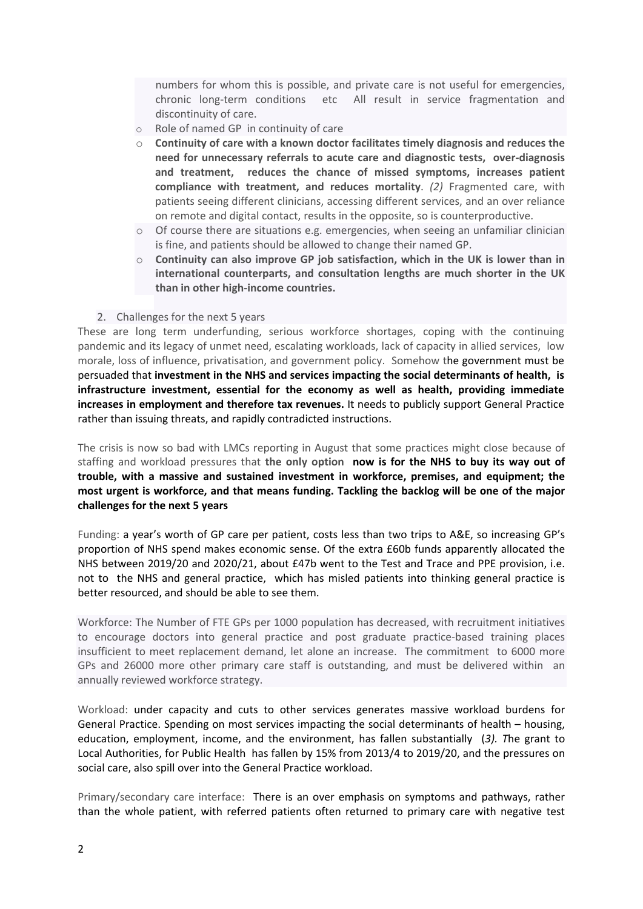numbers for whom this is possible, and private care is not useful for emergencies, chronic long-term conditions etc All result in service fragmentation and discontinuity of care.

- o Role of named GP in continuity of care
- o **Continuity of care with a known doctor facilitates timely diagnosis and reduces the need for unnecessary referrals to acute care and diagnostic tests, over-diagnosis and treatment, reduces the chance of missed symptoms, increases patient compliance with treatment, and reduces mortality**. *(2)* Fragmented care, with patients seeing different clinicians, accessing different services, and an over reliance on remote and digital contact, results in the opposite, so is counterproductive.
- $\circ$  Of course there are situations e.g. emergencies, when seeing an unfamiliar clinician is fine, and patients should be allowed to change their named GP.
- o **Continuity can also improve GP job satisfaction, which in the UK is lower than in international counterparts, and consultation lengths are much shorter in the UK than in other high-income countries.**
- 2. Challenges for the next 5 years

These are long term underfunding, serious workforce shortages, coping with the continuing pandemic and its legacy of unmet need, escalating workloads, lack of capacity in allied services, low morale, loss of influence, privatisation, and government policy. Somehow the government must be persuaded that **investment in the NHS and services impacting the social determinants of health, is infrastructure investment, essential for the economy as well as health, providing immediate increases in employment and therefore tax revenues.** It needs to publicly support General Practice rather than issuing threats, and rapidly contradicted instructions.

The crisis is now so bad with LMCs reporting in August that some practices might close because of staffing and workload pressures that **the only option now is for the NHS to buy its way out of trouble, with a massive and sustained investment in workforce, premises, and equipment; the most urgent is workforce, and that means funding. Tackling the backlog will be one of the major challenges for the next 5 years**

Funding: a year's worth of GP care per patient, costs less than two trips to A&E, so increasing GP's proportion of NHS spend makes economic sense. Of the extra £60b funds apparently allocated the NHS between 2019/20 and 2020/21, about £47b went to the Test and Trace and PPE provision, i.e. not to the NHS and general practice, which has misled patients into thinking general practice is better resourced, and should be able to see them.

Workforce: The Number of FTE GPs per 1000 population has decreased, with recruitment initiatives to encourage doctors into general practice and post graduate practice-based training places insufficient to meet replacement demand, let alone an increase. The commitment to 6000 more GPs and 26000 more other primary care staff is outstanding, and must be delivered within an annually reviewed workforce strategy.

Workload: under capacity and cuts to other services generates massive workload burdens for General Practice. Spending on most services impacting the social determinants of health – housing, education, employment, income, and the environment, has fallen substantially (*3). T*he grant to Local Authorities, for Public Health has fallen by 15% from 2013/4 to 2019/20, and the pressures on social care, also spill over into the General Practice workload.

Primary/secondary care interface: There is an over emphasis on symptoms and pathways, rather than the whole patient, with referred patients often returned to primary care with negative test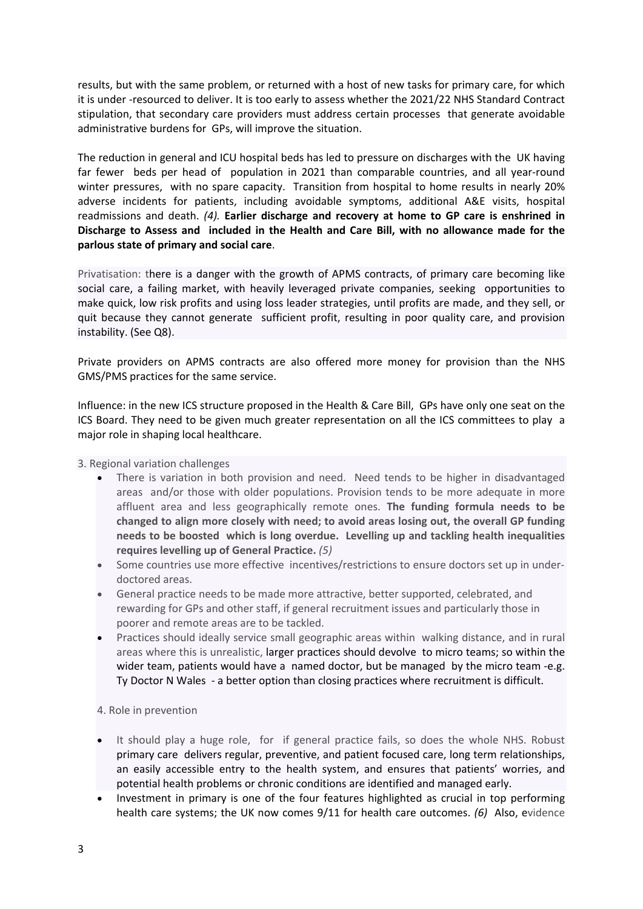results, but with the same problem, or returned with a host of new tasks for primary care, for which it is under -resourced to deliver. It is too early to assess whether the 2021/22 NHS Standard Contract stipulation, that secondary care providers must address certain processes that generate avoidable administrative burdens for GPs, will improve the situation.

The reduction in general and ICU hospital beds has led to pressure on discharges with the UK having far fewer beds per head of population in 2021 than comparable countries, and all year-round winter pressures, with no spare capacity. Transition from hospital to home results in nearly 20% adverse incidents for patients, including avoidable symptoms, additional A&E visits, hospital readmissions and death. *(4).* **Earlier discharge and recovery at home to GP care is enshrined in Discharge to Assess and included in the Health and Care Bill, with no allowance made for the parlous state of primary and social care**.

Privatisation: there is a danger with the growth of APMS contracts, of primary care becoming like social care, a failing market, with heavily leveraged private companies, seeking opportunities to make quick, low risk profits and using loss leader strategies, until profits are made, and they sell, or quit because they cannot generate sufficient profit, resulting in poor quality care, and provision instability. (See Q8).

Private providers on APMS contracts are also offered more money for provision than the NHS GMS/PMS practices for the same service.

Influence: in the new ICS structure proposed in the Health & Care Bill, GPs have only one seat on the ICS Board. They need to be given much greater representation on all the ICS committees to play a major role in shaping local healthcare.

3. Regional variation challenges

- There is variation in both provision and need. Need tends to be higher in disadvantaged areas and/or those with older populations. Provision tends to be more adequate in more affluent area and less geographically remote ones. **The funding formula needs to be changed to align more closely with need; to avoid areas losing out, the overall GP funding needs to be boosted which is long overdue. Levelling up and tackling health inequalities requires levelling up of General Practice.** *(5)*
- Some countries use more effective incentives/restrictions to ensure doctors set up in underdoctored areas.
- General practice needs to be made more attractive, better supported, celebrated, and rewarding for GPs and other staff, if general recruitment issues and particularly those in poorer and remote areas are to be tackled.
- Practices should ideally service small geographic areas within walking distance, and in rural areas where this is unrealistic, larger practices should devolve to micro teams; so within the wider team, patients would have a named doctor, but be managed by the micro team -e.g. Ty Doctor N Wales - a better option than closing practices where recruitment is difficult.

4. Role in prevention

- It should play a huge role, for if general practice fails, so does the whole NHS. Robust primary care delivers regular, preventive, and patient focused care, long term relationships, an easily accessible entry to the health system, and ensures that patients' worries, and potential health problems or chronic conditions are identified and managed early.
- Investment in primary is one of the four features highlighted as crucial in top performing health care systems; the UK now comes 9/11 for health care outcomes. *(6)* Also, evidence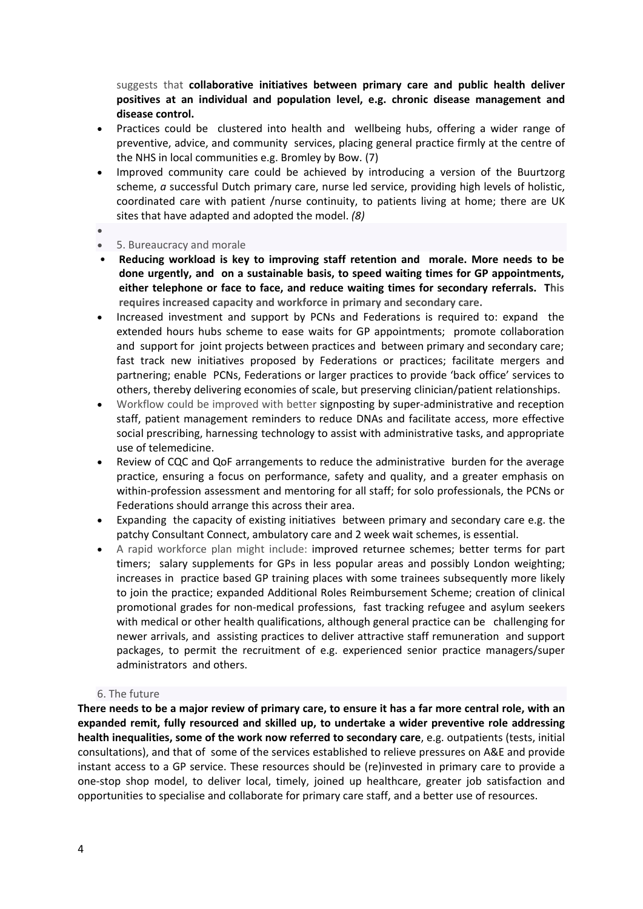suggests that **collaborative initiatives between primary care and public health deliver positives at an individual and population level, e.g. chronic disease management and disease control.**

- Practices could be clustered into health and wellbeing hubs, offering a wider range of preventive, advice, and community services, placing general practice firmly at the centre of the NHS in local communities e.g. Bromley by Bow. (7)
- Improved community care could be achieved by introducing a version of the Buurtzorg scheme, *a* successful Dutch primary care, nurse led service, providing high levels of holistic, coordinated care with patient /nurse continuity, to patients living at home; there are UK sites that have adapted and adopted the model. *(8)*
- $\bullet$
- 5. Bureaucracy and morale
- **Reducing workload is key to improving staff retention and morale. More needs to be done urgently, and on a sustainable basis, to speed waiting times for GP appointments, either telephone or face to face, and reduce waiting times for secondary referrals. This requires increased capacity and workforce in primary and secondary care.**
- Increased investment and support by PCNs and Federations is required to: expand the extended hours hubs scheme to ease waits for GP appointments; promote collaboration and support for joint projects between practices and between primary and secondary care; fast track new initiatives proposed by Federations or practices; facilitate mergers and partnering; enable PCNs, Federations or larger practices to provide 'back office' services to others, thereby delivering economies of scale, but preserving clinician/patient relationships.
- Workflow could be improved with better signposting by super-administrative and reception staff, patient management reminders to reduce DNAs and facilitate access, more effective social prescribing, harnessing technology to assist with administrative tasks, and appropriate use of telemedicine.
- Review of CQC and QoF arrangements to reduce the administrative burden for the average practice, ensuring a focus on performance, safety and quality, and a greater emphasis on within-profession assessment and mentoring for all staff; for solo professionals, the PCNs or Federations should arrange this across their area.
- Expanding the capacity of existing initiatives between primary and secondary care e.g. the patchy Consultant Connect, ambulatory care and 2 week wait schemes, is essential.
- A rapid workforce plan might include: improved returnee schemes; better terms for part timers; salary supplements for GPs in less popular areas and possibly London weighting; increases in practice based GP training places with some trainees subsequently more likely to join the practice; expanded Additional Roles Reimbursement Scheme; creation of clinical promotional grades for non-medical professions, fast tracking refugee and asylum seekers with medical or other health qualifications, although general practice can be challenging for newer arrivals, and assisting practices to deliver attractive staff remuneration and support packages, to permit the recruitment of e.g. experienced senior practice managers/super administrators and others.

## 6. The future

There needs to be a major review of primary care, to ensure it has a far more central role, with an **expanded remit, fully resourced and skilled up, to undertake a wider preventive role addressing health inequalities, some of the work now referred to secondary care**, e.g. outpatients (tests, initial consultations), and that of some of the services established to relieve pressures on A&E and provide instant access to a GP service. These resources should be (re)invested in primary care to provide a one-stop shop model, to deliver local, timely, joined up healthcare, greater job satisfaction and opportunities to specialise and collaborate for primary care staff, and a better use of resources.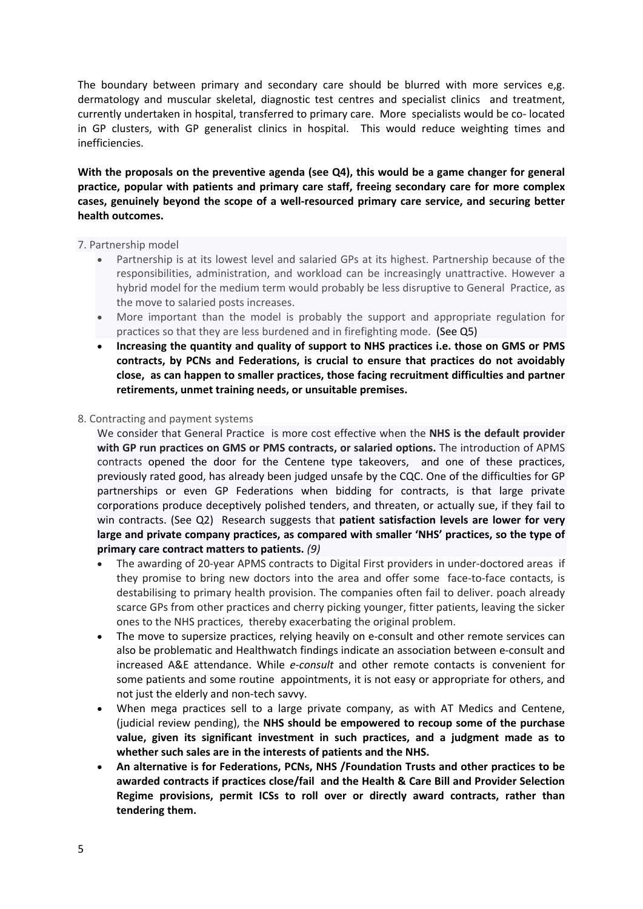The boundary between primary and secondary care should be blurred with more services e,g. dermatology and muscular skeletal, diagnostic test centres and specialist clinics and treatment, currently undertaken in hospital, transferred to primary care. More specialists would be co- located in GP clusters, with GP generalist clinics in hospital. This would reduce weighting times and inefficiencies.

**With the proposals on the preventive agenda (see Q4), this would be a game changer for general practice, popular with patients and primary care staff, freeing secondary care for more complex cases, genuinely beyond the scope of a well-resourced primary care service, and securing better health outcomes.**

## 7. Partnership model

- Partnership is at its lowest level and salaried GPs at its highest. Partnership because of the responsibilities, administration, and workload can be increasingly unattractive. However a hybrid model for the medium term would probably be less disruptive to General Practice, as the move to salaried posts increases.
- More important than the model is probably the support and appropriate regulation for practices so that they are less burdened and in firefighting mode. (See Q5)
- **Increasing the quantity and quality of support to NHS practices i.e. those on GMS or PMS contracts, by PCNs and Federations, is crucial to ensure that practices do not avoidably close, as can happen to smaller practices, those facing recruitment difficulties and partner retirements, unmet training needs, or unsuitable premises.**

#### 8. Contracting and payment systems

We consider that General Practice is more cost effective when the **NHS is the default provider with GP run practices on GMS or PMS contracts, or salaried options.** The introduction of APMS contracts opened the door for the Centene type takeovers, and one of these practices, previously rated good, has already been judged unsafe by the CQC. One of the difficulties for GP partnerships or even GP Federations when bidding for contracts, is that large private corporations produce deceptively polished tenders, and threaten, or actually sue, if they fail to win contracts. (See Q2) Research suggests that **patient satisfaction levels are lower for very large and private company practices, as compared with smaller 'NHS' practices, so the type of primary care contract matters to patients.** *(9)*

- The awarding of 20-year APMS contracts to Digital First providers in under-doctored areas if they promise to bring new doctors into the area and offer some face-to-face contacts, is destabilising to primary health provision. The companies often fail to deliver. poach already scarce GPs from other practices and cherry picking younger, fitter patients, leaving the sicker ones to the NHS practices, thereby exacerbating the original problem.
- The move to supersize practices, relying heavily on e-consult and other remote services can also be problematic and Healthwatch findings indicate an association between e-consult and increased A&E attendance. While *e-consult* and other remote contacts is convenient for some patients and some routine appointments, it is not easy or appropriate for others, and not just the elderly and non-tech savvy.
- When mega practices sell to a large private company, as with AT Medics and Centene, (judicial review pending), the **NHS should be empowered to recoup some of the purchase value, given its significant investment in such practices, and a judgment made as to whether such sales are in the interests of patients and the NHS.**
- **An alternative is for Federations, PCNs, NHS /Foundation Trusts and other practices to be awarded contracts if practices close/fail and the Health & Care Bill and Provider Selection Regime provisions, permit ICSs to roll over or directly award contracts, rather than tendering them.**